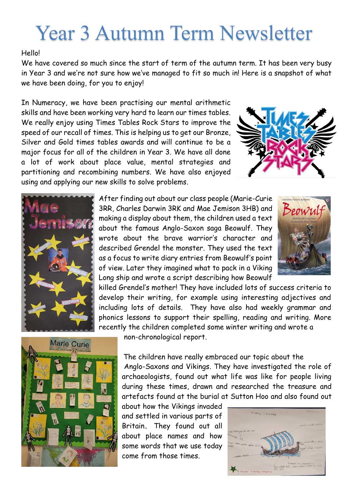## Year 3 Autumn Term Newsletter

## Hello!

We have covered so much since the start of term of the autumn term. It has been very busy in Year 3 and we're not sure how we've managed to fit so much in! Here is a snapshot of what we have been doing, for you to enjoy!

In Numeracy, we have been practising our mental arithmetic skills and have been working very hard to learn our times tables. We really enjoy using Times Tables Rock Stars to improve the speed of our recall of times. This is helping us to get our Bronze, Silver and Gold times tables awards and will continue to be a major focus for all of the children in Year 3. We have all done a lot of work about place value, mental strategies and partitioning and recombining numbers. We have also enjoyed using and applying our new skills to solve problems.





After finding out about our class people (Marie-Curie 3RR, Charles Darwin 3RK and Mae Jemison 3HB) and making a display about them, the children used a text about the famous Anglo-Saxon saga Beowulf. They wrote about the brave warrior's character and described Grendel the monster. They used the text as a focus to write diary entries from Beowulf's point of view. Later they imagined what to pack in a Viking Long ship and wrote a script describing how Beowulf



killed Grendel's mother! They have included lots of success criteria to develop their writing, for example using interesting adjectives and including lots of details. They have also had weekly grammar and phonics lessons to support their spelling, reading and writing. More recently the children completed some winter writing and wrote a



non-chronological report.

The children have really embraced our topic about the Anglo-Saxons and Vikings. They have investigated the role of archaeologists, found out what life was like for people living during these times, drawn and researched the treasure and artefacts found at the burial at Sutton Hoo and also found out

about how the Vikings invaded and settled in various parts of Britain**.** They found out all about place names and how some words that we use today come from those times.